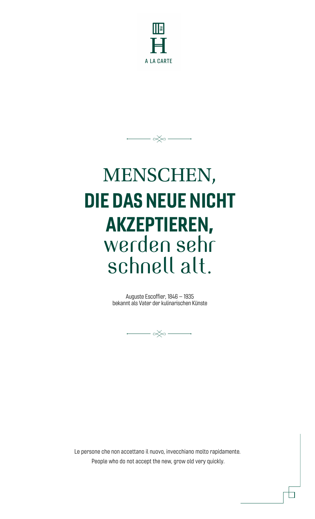

 $-\infty$   $-$ 

# MENSCHEN, DIE DAS NEUE NICHT AKZEPTIEREN, werden sehr schnell alt.

Auguste Escoffier, 1846 – 1935 bekannt als Vater der kulinarischen Künste



Le persone che non accettano il nuovo, invecchiano molto rapidamente. People who do not accept the new, grow old very quickly.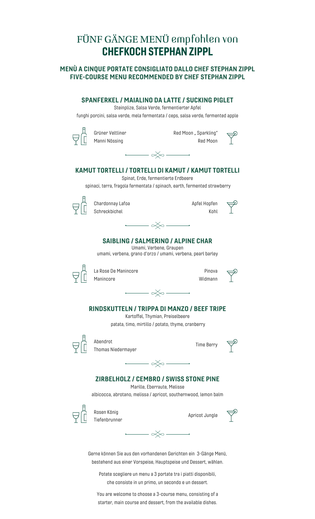### FÜNF GÄNGE MENÜ empfohlen von CHEFKOCH STEPHAN ZIPPL

#### MENÙ A CINQUE PORTATE CONSIGLIATO DALLO CHEF STEPHAN ZIPPL FIVE-COURSE MENU RECOMMENDED BY CHEF STEPHAN ZIPPL

| <b>SPANFERKEL / MAIALINO DA LATTE / SUCKING PIGLET</b>                                                                                                                                                | Steinplize, Salsa Verde, fermentierter Apfel                                                                                                                                                                                                                                                                                                                                    |                                   |  |
|-------------------------------------------------------------------------------------------------------------------------------------------------------------------------------------------------------|---------------------------------------------------------------------------------------------------------------------------------------------------------------------------------------------------------------------------------------------------------------------------------------------------------------------------------------------------------------------------------|-----------------------------------|--|
| funghi porcini, salsa verde, mela fermentata / ceps, salsa verde, fermented apple                                                                                                                     |                                                                                                                                                                                                                                                                                                                                                                                 |                                   |  |
| Grüner Veltliner<br>Manni Nössing                                                                                                                                                                     | $\begin{picture}(180,170) \put(0,0){\line(1,0){10}} \put(15,0){\line(1,0){10}} \put(15,0){\line(1,0){10}} \put(15,0){\line(1,0){10}} \put(15,0){\line(1,0){10}} \put(15,0){\line(1,0){10}} \put(15,0){\line(1,0){10}} \put(15,0){\line(1,0){10}} \put(15,0){\line(1,0){10}} \put(15,0){\line(1,0){10}} \put(15,0){\line(1,0){10}} \put(15,0){\line$                             | Red Moon " Sparkling"<br>Red Moon |  |
| KAMUT TORTELLI / TORTELLI DI KAMUT / KAMUT TORTELLI                                                                                                                                                   |                                                                                                                                                                                                                                                                                                                                                                                 |                                   |  |
| spinaci, terra, fragola fermentata / spinach, earth, fermented strawberry                                                                                                                             | Spinat, Erde, fermentierte Erdbeere                                                                                                                                                                                                                                                                                                                                             |                                   |  |
| Chardonnay Lafoa<br>Schreckbichel                                                                                                                                                                     |                                                                                                                                                                                                                                                                                                                                                                                 | Apfel Hopfen<br>Kohl              |  |
|                                                                                                                                                                                                       | $\begin{picture}(150,10) \put(0,0){\line(1,0){10}} \put(15,0){\line(1,0){10}} \put(15,0){\line(1,0){10}} \put(15,0){\line(1,0){10}} \put(15,0){\line(1,0){10}} \put(15,0){\line(1,0){10}} \put(15,0){\line(1,0){10}} \put(15,0){\line(1,0){10}} \put(15,0){\line(1,0){10}} \put(15,0){\line(1,0){10}} \put(15,0){\line(1,0){10}} \put(15,0){\line($                             |                                   |  |
| umami, verbena, grano d'orzo / umami, verbena, pearl barley                                                                                                                                           | <b>SAIBLING / SALMERINO / ALPINE CHAR</b><br>Umami, Verbene, Graupen                                                                                                                                                                                                                                                                                                            |                                   |  |
| La Rose De Manincore<br>Manincore                                                                                                                                                                     | $\longrightarrow$ $\ll$                                                                                                                                                                                                                                                                                                                                                         | Pinova<br>Widmann                 |  |
| RINDSKUTTELN / TRIPPA DI MANZO / BEEF TRIPE                                                                                                                                                           | Kartoffel, Thymian, Preiselbeere<br>patata, timo, mirtillo / potato, thyme, cranberry                                                                                                                                                                                                                                                                                           |                                   |  |
| Abendrot<br>Thomas Niedermayer                                                                                                                                                                        |                                                                                                                                                                                                                                                                                                                                                                                 | <b>Time Berry</b>                 |  |
| <b>ZIRBELHOLZ / CEMBRO / SWISS STONE PINE</b><br>albicocca, abrotano, melissa / apricot, southernwood, lemon balm                                                                                     | $\begin{picture}(180,170)(-10,0) \put(0,0){\line(1,0){10}} \put(10,0){\line(1,0){10}} \put(10,0){\line(1,0){10}} \put(10,0){\line(1,0){10}} \put(10,0){\line(1,0){10}} \put(10,0){\line(1,0){10}} \put(10,0){\line(1,0){10}} \put(10,0){\line(1,0){10}} \put(10,0){\line(1,0){10}} \put(10,0){\line(1,0){10}} \put(10,0){\line(1,0){10}} \put(1$<br>Marille, Eberraute, Melisse |                                   |  |
| Rosen König<br>Tiefenbrunner                                                                                                                                                                          |                                                                                                                                                                                                                                                                                                                                                                                 | Apricot Jungle                    |  |
|                                                                                                                                                                                                       | $\begin{picture}(150,10) \put(0,0){\line(1,0){10}} \put(15,0){\line(1,0){10}} \put(15,0){\line(1,0){10}} \put(15,0){\line(1,0){10}} \put(15,0){\line(1,0){10}} \put(15,0){\line(1,0){10}} \put(15,0){\line(1,0){10}} \put(15,0){\line(1,0){10}} \put(15,0){\line(1,0){10}} \put(15,0){\line(1,0){10}} \put(15,0){\line(1,0){10}} \put(15,0){\line($                             |                                   |  |
| Gerne können Sie aus den vorhandenen Gerichten ein 3-Gänge Menü,<br>bestehend aus einer Vorspeise, Hauptspeise und Dessert, wählen.<br>Potete scegliere un menu a 3 portate tra i piatti disponibili, |                                                                                                                                                                                                                                                                                                                                                                                 |                                   |  |

che consiste in un primo, un secondo e un dessert.

You are welcome to choose a 3-course menu, consisting of a starter, main course and dessert, from the available dishes.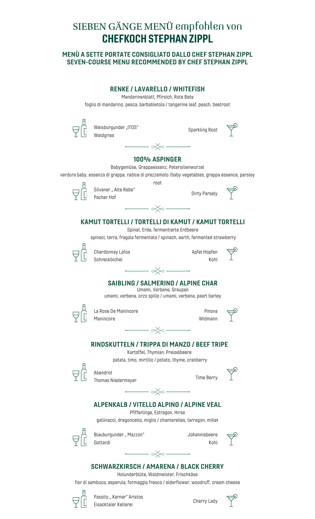### SIEBEN GÄNGE MENÜ empfohlen von CHEFKOCH STEPHAN ZIPPL

#### MENÙ A SETTE PORTATE CONSIGLIATO DALLO CHEF STEPHAN ZIPPL SEVEN-COURSE MENU RECOMMENDED BY CHEF STEPHAN ZIPPL

| Mandarinenblatt, Pfirsich, Rote Bete<br>foglio di mandarino, pesca, barbabietola / tangerine leaf, peach, beetroot                                                                                                                                                                                                                                                          |                       |  |
|-----------------------------------------------------------------------------------------------------------------------------------------------------------------------------------------------------------------------------------------------------------------------------------------------------------------------------------------------------------------------------|-----------------------|--|
| Weisburgunder "ITOS"<br>Waldgries                                                                                                                                                                                                                                                                                                                                           | Sparkling Root        |  |
| $\begin{picture}(180,170) \put(0,0){\line(1,0){10}} \put(15,0){\line(1,0){10}} \put(15,0){\line(1,0){10}} \put(15,0){\line(1,0){10}} \put(15,0){\line(1,0){10}} \put(15,0){\line(1,0){10}} \put(15,0){\line(1,0){10}} \put(15,0){\line(1,0){10}} \put(15,0){\line(1,0){10}} \put(15,0){\line(1,0){10}} \put(15,0){\line(1,0){10}} \put(15,0){\line$                         |                       |  |
| 100% ASPINGER                                                                                                                                                                                                                                                                                                                                                               |                       |  |
| Babygemüse, Grappaessenz, Petersilienwurzel<br>verdura baby, essenza di grappa, radice di prezzemolo /baby vegetables, grappa essence, parsley                                                                                                                                                                                                                              |                       |  |
| root                                                                                                                                                                                                                                                                                                                                                                        |                       |  |
| Silvaner " Alte Rebe"<br>Pacher Hof                                                                                                                                                                                                                                                                                                                                         | Dirty Parsely         |  |
| $\begin{picture}(150,10) \put(0,0){\line(1,0){10}} \put(15,0){\line(1,0){10}} \put(15,0){\line(1,0){10}} \put(15,0){\line(1,0){10}} \put(15,0){\line(1,0){10}} \put(15,0){\line(1,0){10}} \put(15,0){\line(1,0){10}} \put(15,0){\line(1,0){10}} \put(15,0){\line(1,0){10}} \put(15,0){\line(1,0){10}} \put(15,0){\line(1,0){10}} \put(15,0){\line($                         |                       |  |
|                                                                                                                                                                                                                                                                                                                                                                             |                       |  |
| KAMUT TORTELLI / TORTELLI DI KAMUT / KAMUT TORTELLI<br>Spinat, Erde, fermentierte Erdbeere                                                                                                                                                                                                                                                                                  |                       |  |
| spinaci, terra, fragola fermentata / spinach, earth, fermented strawberry                                                                                                                                                                                                                                                                                                   |                       |  |
| Chardonnay Lafoa                                                                                                                                                                                                                                                                                                                                                            | Apfel Hopfen          |  |
| Schreckbichel                                                                                                                                                                                                                                                                                                                                                               | Kohl                  |  |
| $\begin{picture}(180,170)(-10,0) \put(0,0){\line(1,0){10}} \put(10,0){\line(1,0){10}} \put(10,0){\line(1,0){10}} \put(10,0){\line(1,0){10}} \put(10,0){\line(1,0){10}} \put(10,0){\line(1,0){10}} \put(10,0){\line(1,0){10}} \put(10,0){\line(1,0){10}} \put(10,0){\line(1,0){10}} \put(10,0){\line(1,0){10}} \put(10,0){\line(1,0){10}} \put(1$                            |                       |  |
| <b>SAIBLING / SALMERINO / ALPINE CHAR</b><br>Umami, Verbene, Graupen<br>umami, verbena, orzo spillo / umami, verbena, pearl barley                                                                                                                                                                                                                                          |                       |  |
| La Rose De Manincore                                                                                                                                                                                                                                                                                                                                                        | Pinova                |  |
| Manincore                                                                                                                                                                                                                                                                                                                                                                   | Widmann               |  |
| - ∞∕∞                                                                                                                                                                                                                                                                                                                                                                       |                       |  |
| RINDSKUTTELN / TRIPPA DI MANZO / BEEF TRIPE<br>Kartoffel, Thymian, Preiselbeere<br>patata, timo, mirtillo / potato, thyme, cranberry                                                                                                                                                                                                                                        |                       |  |
|                                                                                                                                                                                                                                                                                                                                                                             |                       |  |
| Abendrot<br>Thomas Niedermayer                                                                                                                                                                                                                                                                                                                                              | <b>Time Berry</b>     |  |
| $\begin{picture}(150,10) \put(0,0){\line(1,0){10}} \put(15,0){\line(1,0){10}} \put(15,0){\line(1,0){10}} \put(15,0){\line(1,0){10}} \put(15,0){\line(1,0){10}} \put(15,0){\line(1,0){10}} \put(15,0){\line(1,0){10}} \put(15,0){\line(1,0){10}} \put(15,0){\line(1,0){10}} \put(15,0){\line(1,0){10}} \put(15,0){\line(1,0){10}} \put(15,0){\line($                         |                       |  |
| <b>ALPENKALB / VITELLO ALPINO / ALPINE VEAL</b><br>Pfifferlinge, Estragon, Hirse                                                                                                                                                                                                                                                                                            |                       |  |
| gallinacci, dragoncello, miglio / chanterelles, tarragon, millet                                                                                                                                                                                                                                                                                                            |                       |  |
| Blauburgunder " Mazzon"<br>Gottardi                                                                                                                                                                                                                                                                                                                                         | Johannisbeere<br>Kohl |  |
|                                                                                                                                                                                                                                                                                                                                                                             |                       |  |
| $\begin{picture}(20,5) \put(0,0){\vector(0,1){10}} \put(15,0){\vector(0,1){10}} \put(15,0){\vector(0,1){10}} \put(15,0){\vector(0,1){10}} \put(15,0){\vector(0,1){10}} \put(15,0){\vector(0,1){10}} \put(15,0){\vector(0,1){10}} \put(15,0){\vector(0,1){10}} \put(15,0){\vector(0,1){10}} \put(15,0){\vector(0,1){10}} \put(15,0){\vector(0,1){10}} \put(15,0){\vector(0,$ |                       |  |



Passito "Kerner" Aristos Eisacktaler Kellerei

Cherry Lady

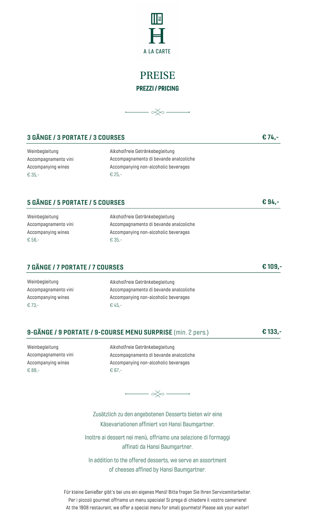

### PREISE PREZZI / PRICING



#### 3 GÄNGE / 3 PORTATE / 3 COURSES **EXECUTE:**  $\epsilon$  74,-

Weinbegleitung Accompagnamento vini Accompanying wines € 35,-

Alkoholfreie Getränkebegleitung Accompagnamento di bevande analcoliche Accompanying non-alcoholic beverages € 25,-

#### 5 GÄNGE / 5 PORTATE / 5 COURSES € 94,-

Weinbegleitung Accompagnamento vini Accompanying wines € 56,-

Alkoholfreie Getränkebegleitung Accompagnamento di bevande analcoliche Accompanying non-alcoholic beverages € 35,-

#### 7 GÄNGE / 7 PORTATE / 7 COURSES € 109,-

Weinbegleitung Accompagnamento vini Accompanying wines € 73,-

Alkoholfreie Getränkebegleitung Accompagnamento di bevande analcoliche Accompanying non-alcoholic beverages € 45,-

#### 9-GÄNGE / 9 PORTATE / 9-COURSE MENU SURPRISE (min. 2 pers.) € 133,-

Weinbegleitung Accompagnamento vini Accompanying wines € 88,-

Alkoholfreie Getränkebegleitung Accompagnamento di bevande analcoliche Accompanying non-alcoholic beverages € 67,-



Zusätzlich zu den angebotenen Desserts bieten wir eine Käsevariationen affiniert von Hansi Baumgartner.

Inoltre ai dessert nei menù, offriamo una selezione di formaggi affinati da Hansi Baumgartner.

In addition to the offered desserts, we serve an assortment of cheeses affined by Hansi Baumgartner.

Für kleine Genießer gibt's bei uns ein eigenes Menü! Bitte fragen Sie Ihren Servicemitarbeiter. Per i piccoli gourmet offriamo un menu speciale! Si prega di chiedere il vostro cameriere! At the 1908 restaurant, we offer a special menu for small gourmets! Please ask your waiter!